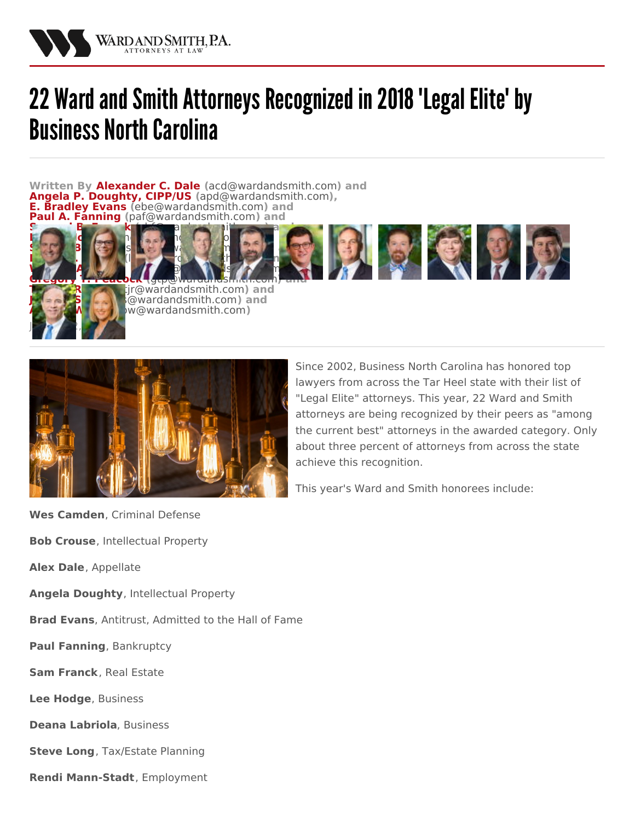

## 22 Ward and Smith Attorneys Recognized in 2018 'Legal Elite' by **Business North Carolina**

**Written By [Alexander](/attorneys/alexander-dale) C. Dale (**[acd@wardandsmith.com](mailto:acd@wardandsmith.com)**) and Angela P. [Doughty,](/attorneys/angela-doughty) CIPP/US (**[apd@wardandsmith.com](mailto:apd@wardandsmith.com)**), E. [Bradley](/attorneys/bradley-evans) Evans (**[ebe@wardandsmith.com](mailto:ebe@wardandsmith.com)**) and A.** [Fanning](/attorneys/paul-fanning) ([paf@wardandsmith.com](mailto:paf@wardandsmith.com)) and

> $\omega$  *Gwardandsmith.com* and **Amy P. [Wang](/attorneys/amy-wang) (**[apw@wardandsmith.com](mailto:apw@wardandsmith.com)**)**





Since 2002, [Business](http://businessnc.com/) North Carolina has honored top lawyers from across the Tar Heel state with their list of ["Legal](http://businessnc.com/special-sections/legal-elite/) Elite" attorneys. This year, 22 Ward and [Smith](/) attorneys are being recognized by their peers as "among the current best" attorneys in the awarded category. Only about three percent of attorneys from across the state achieve this recognition.

This year's Ward and Smith honorees include:

**Wes Camden**, Criminal Defense **Bob Crouse**, Intellectual Property

**Alex [Dale](/attorneys/alexander-dale)**, Appellate

[January](/attorneys/john-sloan) 2, [2018](/attorneys/amy-wang)

**Angela [Doughty](/attorneys/angela-doughty)**, Intellectual Property

**Brad [Evans](/attorneys/bradley-evans)**, Antitrust, Admitted to the Hall of Fame

**Paul [Fanning](/attorneys/paul-fanning)**, Bankruptcy

**Sam [Franck](/attorneys/samuel-franck)**, Real Estate

**Lee [Hodge](/attorneys/lee-hodge)**, Business

**Deana Labriola**, Business

**[Steve](/attorneys/steve-long) Long**, Tax/Estate Planning

**Rendi Mann-Stadt**, Employment